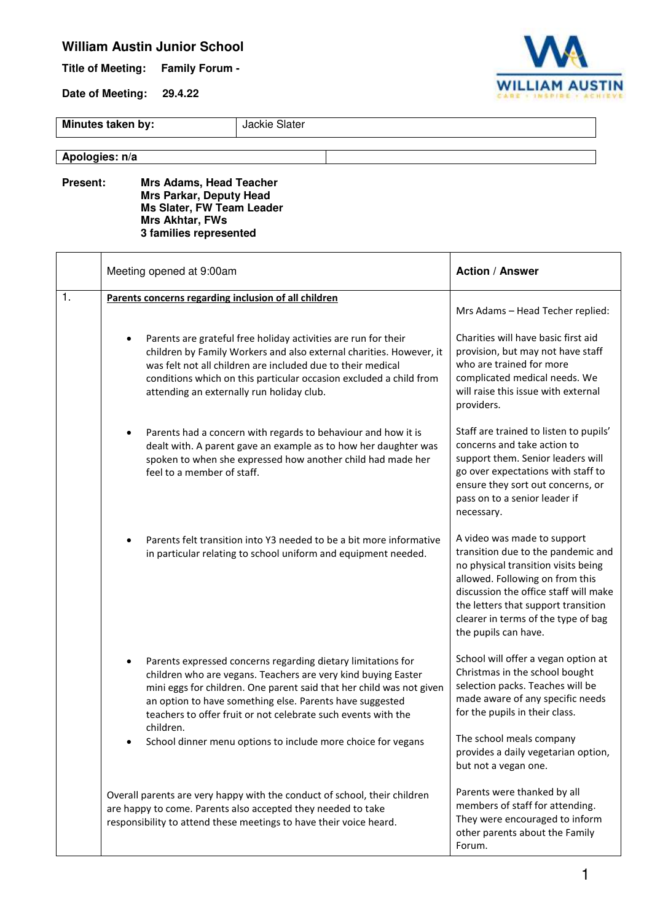## **William Austin Junior School**

**Title of Meeting: Family Forum -** 

**Date of Meeting: 29.4.22** 



**Minutes taken by: Jackie Slater** 

## **Apologies: n/a**

**Present: Mrs Adams, Head Teacher Mrs Parkar, Deputy Head Ms Slater, FW Team Leader Mrs Akhtar, FWs 3 families represented** 

|               | Meeting opened at 9:00am                                                                                                                                                                                                                                                                                                                                                                                                     | <b>Action / Answer</b>                                                                                                                                                                                                                                                                     |
|---------------|------------------------------------------------------------------------------------------------------------------------------------------------------------------------------------------------------------------------------------------------------------------------------------------------------------------------------------------------------------------------------------------------------------------------------|--------------------------------------------------------------------------------------------------------------------------------------------------------------------------------------------------------------------------------------------------------------------------------------------|
| $\mathbf 1$ . | Parents concerns regarding inclusion of all children                                                                                                                                                                                                                                                                                                                                                                         | Mrs Adams - Head Techer replied:                                                                                                                                                                                                                                                           |
|               | Parents are grateful free holiday activities are run for their<br>children by Family Workers and also external charities. However, it<br>was felt not all children are included due to their medical<br>conditions which on this particular occasion excluded a child from<br>attending an externally run holiday club.                                                                                                      | Charities will have basic first aid<br>provision, but may not have staff<br>who are trained for more<br>complicated medical needs. We<br>will raise this issue with external<br>providers.                                                                                                 |
|               | Parents had a concern with regards to behaviour and how it is<br>$\bullet$<br>dealt with. A parent gave an example as to how her daughter was<br>spoken to when she expressed how another child had made her<br>feel to a member of staff.                                                                                                                                                                                   | Staff are trained to listen to pupils'<br>concerns and take action to<br>support them. Senior leaders will<br>go over expectations with staff to<br>ensure they sort out concerns, or<br>pass on to a senior leader if<br>necessary.                                                       |
|               | Parents felt transition into Y3 needed to be a bit more informative<br>in particular relating to school uniform and equipment needed.                                                                                                                                                                                                                                                                                        | A video was made to support<br>transition due to the pandemic and<br>no physical transition visits being<br>allowed. Following on from this<br>discussion the office staff will make<br>the letters that support transition<br>clearer in terms of the type of bag<br>the pupils can have. |
|               | Parents expressed concerns regarding dietary limitations for<br>$\bullet$<br>children who are vegans. Teachers are very kind buying Easter<br>mini eggs for children. One parent said that her child was not given<br>an option to have something else. Parents have suggested<br>teachers to offer fruit or not celebrate such events with the<br>children.<br>School dinner menu options to include more choice for vegans | School will offer a vegan option at<br>Christmas in the school bought<br>selection packs. Teaches will be<br>made aware of any specific needs<br>for the pupils in their class.<br>The school meals company                                                                                |
|               |                                                                                                                                                                                                                                                                                                                                                                                                                              | provides a daily vegetarian option,<br>but not a vegan one.                                                                                                                                                                                                                                |
|               | Overall parents are very happy with the conduct of school, their children<br>are happy to come. Parents also accepted they needed to take<br>responsibility to attend these meetings to have their voice heard.                                                                                                                                                                                                              | Parents were thanked by all<br>members of staff for attending.<br>They were encouraged to inform<br>other parents about the Family<br>Forum.                                                                                                                                               |